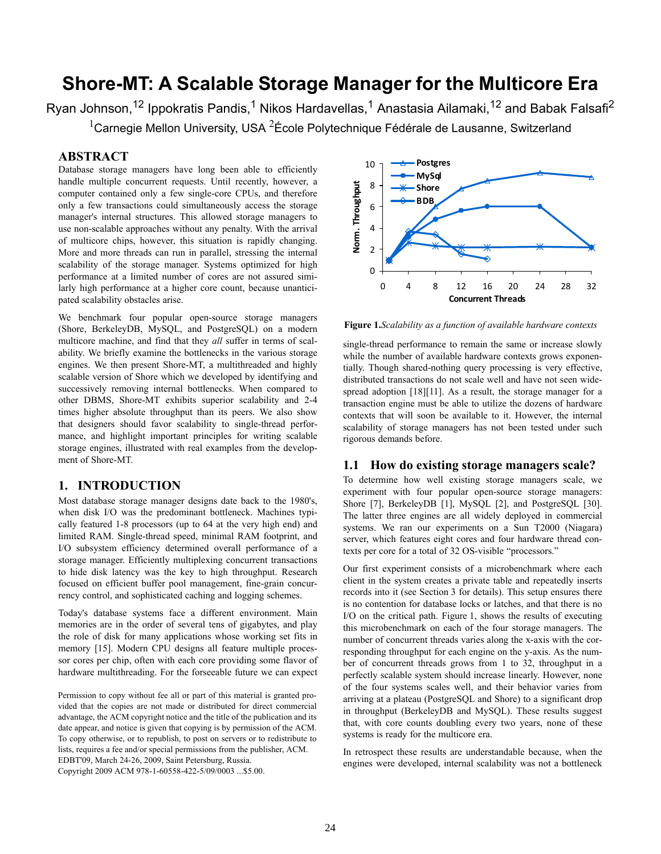# **Shore-MT: A Scalable Storage Manager for the Multicore Era**

Ryan Johnson,<sup>12</sup> Ippokratis Pandis,<sup>1</sup> Nikos Hardavellas,<sup>1</sup> Anastasia Ailamaki,<sup>12</sup> and Babak Falsafi<sup>2</sup> <sup>1</sup> Carnegie Mellon University, USA <sup>2</sup>École Polytechnique Fédérale de Lausanne, Switzerland

# **ABSTRACT**

Database storage managers have long been able to efficiently handle multiple concurrent requests. Until recently, however, a computer contained only a few single-core CPUs, and therefore only a few transactions could simultaneously access the storage manager's internal structures. This allowed storage managers to use non-scalable approaches without any penalty. With the arrival of multicore chips, however, this situation is rapidly changing. More and more threads can run in parallel, stressing the internal scalability of the storage manager. Systems optimized for high performance at a limited number of cores are not assured similarly high performance at a higher core count, because unanticipated scalability obstacles arise.

We benchmark four popular open-source storage managers (Shore, BerkeleyDB, MySQL, and PostgreSQL) on a modern multicore machine, and find that they *all* suffer in terms of scalability. We briefly examine the bottlenecks in the various storage engines. We then present Shore-MT, a multithreaded and highly scalable version of Shore which we developed by identifying and successively removing internal bottlenecks. When compared to other DBMS, Shore-MT exhibits superior scalability and 2-4 times higher absolute throughput than its peers. We also show that designers should favor scalability to single-thread performance, and highlight important principles for writing scalable storage engines, illustrated with real examples from the development of Shore-MT.

### **1. INTRODUCTION**

Most database storage manager designs date back to the 1980's, when disk I/O was the predominant bottleneck. Machines typically featured 1-8 processors (up to 64 at the very high end) and limited RAM. Single-thread speed, minimal RAM footprint, and I/O subsystem efficiency determined overall performance of a storage manager. Efficiently multiplexing concurrent transactions to hide disk latency was the key to high throughput. Research focused on efficient buffer pool management, fine-grain concurrency control, and sophisticated caching and logging schemes.

Today's database systems face a different environment. Main memories are in the order of several tens of gigabytes, and play the role of disk for many applications whose working set fits in memory [\[15\].](#page-11-4) Modern CPU designs all feature multiple processor cores per chip, often with each core providing some flavor of hardware multithreading. For the forseeable future we can expect

Permission to copy without fee all or part of this material is granted provided that the copies are not made or distributed for direct commercial advantage, the ACM copyright notice and the title of the publication and its date appear, and notice is given that copying is by permission of the ACM. To copy otherwise, or to republish, to post on servers or to redistribute to lists, requires a fee and/or special permissions from the publisher, ACM. EDBT'09, March 24-26, 2009, Saint Petersburg, Russia.

Copyright 2009 ACM 978-1-60558-422-5/09/0003 ...\$5.00.



<span id="page-0-0"></span>**Figure 1.***Scalability as a function of available hardware contexts*

single-thread performance to remain the same or increase slowly while the number of available hardware contexts grows exponentially. Though shared-nothing query processing is very effective, distributed transactions do not scale well and have not seen widespread adoption [\[18\]](#page-11-5)[\[11\]](#page-11-6). As a result, the storage manager for a transaction engine must be able to utilize the dozens of hardware contexts that will soon be available to it. However, the internal scalability of storage managers has not been tested under such rigorous demands before.

### **1.1 How do existing storage managers scale?**

To determine how well existing storage managers scale, we experiment with four popular open-source storage managers: Shore [\[7\]](#page-11-0), BerkeleyDB [\[1\]](#page-11-1), MySQL [\[2\]](#page-11-2), and PostgreSQL [\[30\].](#page-11-3) The latter three engines are all widely deployed in commercial systems. We ran our experiments on a Sun T2000 (Niagara) server, which features eight cores and four hardware thread contexts per core for a total of 32 OS-visible "processors."

Our first experiment consists of a microbenchmark where each client in the system creates a private table and repeatedly inserts records into it (see [Section 3](#page-3-0) for details). This setup ensures there is no contention for database locks or latches, and that there is no I/O on the critical path. [Figure 1,](#page-0-0) shows the results of executing this microbenchmark on each of the four storage managers. The number of concurrent threads varies along the x-axis with the corresponding throughput for each engine on the y-axis. As the number of concurrent threads grows from 1 to 32, throughput in a perfectly scalable system should increase linearly. However, none of the four systems scales well, and their behavior varies from arriving at a plateau (PostgreSQL and Shore) to a significant drop in throughput (BerkeleyDB and MySQL). These results suggest that, with core counts doubling every two years, none of these systems is ready for the multicore era.

In retrospect these results are understandable because, when the engines were developed, internal scalability was not a bottleneck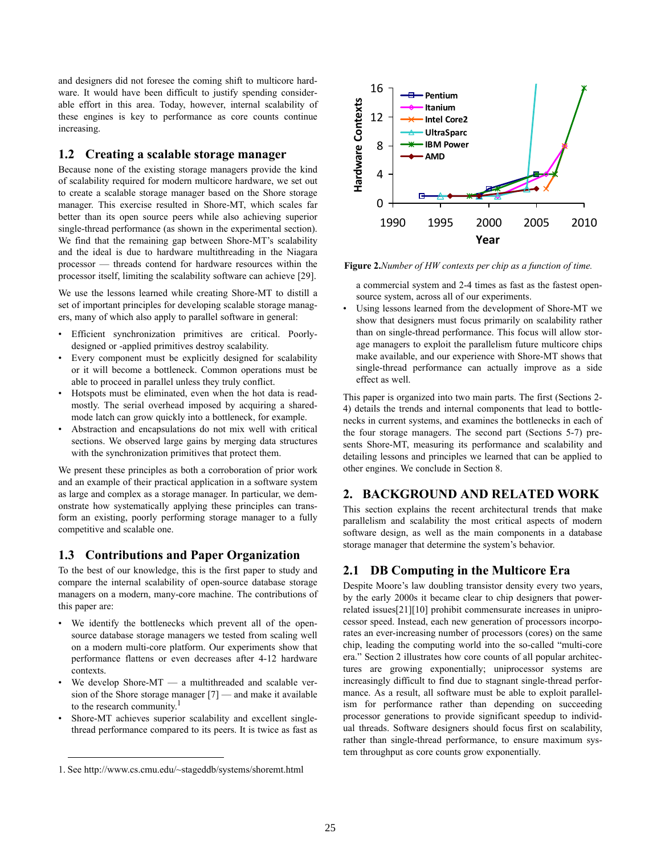and designers did not foresee the coming shift to multicore hardware. It would have been difficult to justify spending considerable effort in this area. Today, however, internal scalability of these engines is key to performance as core counts continue increasing.

### **1.2 Creating a scalable storage manager**

Because none of the existing storage managers provide the kind of scalability required for modern multicore hardware, we set out to create a scalable storage manager based on the Shore storage manager. This exercise resulted in Shore-MT, which scales far better than its open source peers while also achieving superior single-thread performance (as shown in the experimental section). We find that the remaining gap between Shore-MT's scalability and the ideal is due to hardware multithreading in the Niagara processor — threads contend for hardware resources within the processor itself, limiting the scalability software can achieve [\[29\].](#page-11-9)

We use the lessons learned while creating Shore-MT to distill a set of important principles for developing scalable storage managers, many of which also apply to parallel software in general:

- Efficient synchronization primitives are critical. Poorlydesigned or -applied primitives destroy scalability.
- Every component must be explicitly designed for scalability or it will become a bottleneck. Common operations must be able to proceed in parallel unless they truly conflict.
- Hotspots must be eliminated, even when the hot data is readmostly. The serial overhead imposed by acquiring a sharedmode latch can grow quickly into a bottleneck, for example.
- Abstraction and encapsulations do not mix well with critical sections. We observed large gains by merging data structures with the synchronization primitives that protect them.

We present these principles as both a corroboration of prior work and an example of their practical application in a software system as large and complex as a storage manager. In particular, we demonstrate how systematically applying these principles can transform an existing, poorly performing storage manager to a fully competitive and scalable one.

### **1.3 Contributions and Paper Organization**

To the best of our knowledge, this is the first paper to study and compare the internal scalability of open-source database storage managers on a modern, many-core machine. The contributions of this paper are:

- We identify the bottlenecks which prevent all of the opensource database storage managers we tested from scaling well on a modern multi-core platform. Our experiments show that performance flattens or even decreases after 4-12 hardware contexts.
- We develop Shore-MT  $-$  a multithreaded and scalable version of the Shore storage manager [\[7\]](#page-11-0) — and make it available to the research community.<sup>1</sup>
- Shore-MT achieves superior scalability and excellent singlethread performance compared to its peers. It is twice as fast as



<span id="page-1-0"></span>**Figure 2.***Number of HW contexts per chip as a function of time.*

a commercial system and 2-4 times as fast as the fastest opensource system, across all of our experiments.

Using lessons learned from the development of Shore-MT we show that designers must focus primarily on scalability rather than on single-thread performance. This focus will allow storage managers to exploit the parallelism future multicore chips make available, and our experience with Shore-MT shows that single-thread performance can actually improve as a side effect as well.

This paper is organized into two main parts. The first (Sections 2- 4) details the trends and internal components that lead to bottlenecks in current systems, and examines the bottlenecks in each of the four storage managers. The second part (Sections 5-7) presents Shore-MT, measuring its performance and scalability and detailing lessons and principles we learned that can be applied to other engines. We conclude in [Section 8](#page-10-0).

### **2. BACKGROUND AND RELATED WORK**

This section explains the recent architectural trends that make parallelism and scalability the most critical aspects of modern software design, as well as the main components in a database storage manager that determine the system's behavior.

# **2.1 DB Computing in the Multicore Era**

Despite Moore's law doubling transistor density every two years, by the early 2000s it became clear to chip designers that powerrelated issues[\[21\]](#page-11-7)[\[10\]](#page-11-8) prohibit commensurate increases in uniprocessor speed. Instead, each new generation of processors incorporates an ever-increasing number of processors (cores) on the same chip, leading the computing world into the so-called "multi-core era." [Section 2](#page-1-0) illustrates how core counts of all popular architectures are growing exponentially; uniprocessor systems are increasingly difficult to find due to stagnant single-thread performance. As a result, all software must be able to exploit parallelism for performance rather than depending on succeeding processor generations to provide significant speedup to individual threads. Software designers should focus first on scalability, rather than single-thread performance, to ensure maximum system throughput as core counts grow exponentially.

<sup>1.</sup> See http://www.cs.cmu.edu/~stageddb/systems/shoremt.html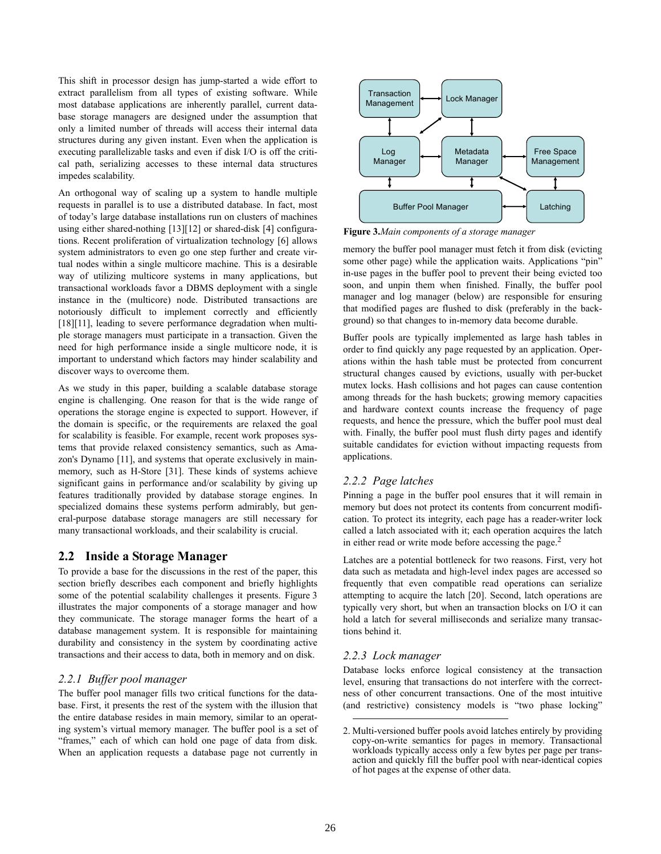This shift in processor design has jump-started a wide effort to extract parallelism from all types of existing software. While most database applications are inherently parallel, current database storage managers are designed under the assumption that only a limited number of threads will access their internal data structures during any given instant. Even when the application is executing parallelizable tasks and even if disk I/O is off the critical path, serializing accesses to these internal data structures impedes scalability.

An orthogonal way of scaling up a system to handle multiple requests in parallel is to use a distributed database. In fact, most of today's large database installations run on clusters of machines using either shared-nothing [\[13\]](#page-11-10)[\[12\]](#page-11-11) or shared-disk [\[4\]](#page-11-12) configurations. Recent proliferation of virtualization technology [\[6\]](#page-11-13) allows system administrators to even go one step further and create virtual nodes within a single multicore machine. This is a desirable way of utilizing multicore systems in many applications, but transactional workloads favor a DBMS deployment with a single instance in the (multicore) node. Distributed transactions are notoriously difficult to implement correctly and efficiently [\[18\]](#page-11-5)[\[11\],](#page-11-6) leading to severe performance degradation when multiple storage managers must participate in a transaction. Given the need for high performance inside a single multicore node, it is important to understand which factors may hinder scalability and discover ways to overcome them.

As we study in this paper, building a scalable database storage engine is challenging. One reason for that is the wide range of operations the storage engine is expected to support. However, if the domain is specific, or the requirements are relaxed the goal for scalability is feasible. For example, recent work proposes systems that provide relaxed consistency semantics, such as Amazon's Dynamo [11], and systems that operate exclusively in mainmemory, such as H-Store [31]. These kinds of systems achieve significant gains in performance and/or scalability by giving up features traditionally provided by database storage engines. In specialized domains these systems perform admirably, but general-purpose database storage managers are still necessary for many transactional workloads, and their scalability is crucial.

#### **2.2 Inside a Storage Manager**

To provide a base for the discussions in the rest of the paper, this section briefly describes each component and briefly highlights some of the potential scalability challenges it presents. [Figure 3](#page-2-0) illustrates the major components of a storage manager and how they communicate. The storage manager forms the heart of a database management system. It is responsible for maintaining durability and consistency in the system by coordinating active transactions and their access to data, both in memory and on disk.

#### *2.2.1 Buffer pool manager*

The buffer pool manager fills two critical functions for the database. First, it presents the rest of the system with the illusion that the entire database resides in main memory, similar to an operating system's virtual memory manager. The buffer pool is a set of "frames," each of which can hold one page of data from disk. When an application requests a database page not currently in



<span id="page-2-0"></span>**Figure 3.***Main components of a storage manager*

memory the buffer pool manager must fetch it from disk (evicting some other page) while the application waits. Applications "pin" in-use pages in the buffer pool to prevent their being evicted too soon, and unpin them when finished. Finally, the buffer pool manager and log manager (below) are responsible for ensuring that modified pages are flushed to disk (preferably in the background) so that changes to in-memory data become durable.

Buffer pools are typically implemented as large hash tables in order to find quickly any page requested by an application. Operations within the hash table must be protected from concurrent structural changes caused by evictions, usually with per-bucket mutex locks. Hash collisions and hot pages can cause contention among threads for the hash buckets; growing memory capacities and hardware context counts increase the frequency of page requests, and hence the pressure, which the buffer pool must deal with. Finally, the buffer pool must flush dirty pages and identify suitable candidates for eviction without impacting requests from applications.

### *2.2.2 Page latches*

Pinning a page in the buffer pool ensures that it will remain in memory but does not protect its contents from concurrent modification. To protect its integrity, each page has a reader-writer lock called a latch associated with it; each operation acquires the latch in either read or write mode before accessing the page. $<sup>2</sup>$ </sup>

Latches are a potential bottleneck for two reasons. First, very hot data such as metadata and high-level index pages are accessed so frequently that even compatible read operations can serialize attempting to acquire the latch [\[20\].](#page-11-14) Second, latch operations are typically very short, but when an transaction blocks on I/O it can hold a latch for several milliseconds and serialize many transactions behind it.

#### *2.2.3 Lock manager*

Database locks enforce logical consistency at the transaction level, ensuring that transactions do not interfere with the correctness of other concurrent transactions. One of the most intuitive (and restrictive) consistency models is "two phase locking"

<sup>2.</sup> Multi-versioned buffer pools avoid latches entirely by providing copy-on-write semantics for pages in memory. Transactional workloads typically access only a few bytes per page per transaction and quickly fill the buffer pool with near-identical copies of hot pages at the expense of other data.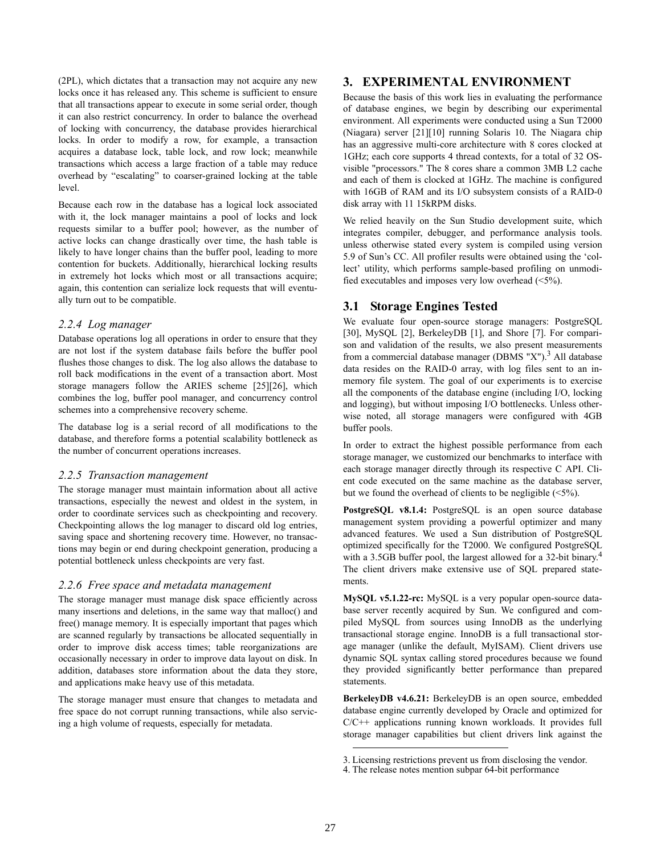(2PL), which dictates that a transaction may not acquire any new locks once it has released any. This scheme is sufficient to ensure that all transactions appear to execute in some serial order, though it can also restrict concurrency. In order to balance the overhead of locking with concurrency, the database provides hierarchical locks. In order to modify a row, for example, a transaction acquires a database lock, table lock, and row lock; meanwhile transactions which access a large fraction of a table may reduce overhead by "escalating" to coarser-grained locking at the table level.

Because each row in the database has a logical lock associated with it, the lock manager maintains a pool of locks and lock requests similar to a buffer pool; however, as the number of active locks can change drastically over time, the hash table is likely to have longer chains than the buffer pool, leading to more contention for buckets. Additionally, hierarchical locking results in extremely hot locks which most or all transactions acquire; again, this contention can serialize lock requests that will eventually turn out to be compatible.

#### *2.2.4 Log manager*

Database operations log all operations in order to ensure that they are not lost if the system database fails before the buffer pool flushes those changes to disk. The log also allows the database to roll back modifications in the event of a transaction abort. Most storage managers follow the ARIES scheme [\[25\]](#page-11-15)[\[26\]](#page-11-16), which combines the log, buffer pool manager, and concurrency control schemes into a comprehensive recovery scheme.

The database log is a serial record of all modifications to the database, and therefore forms a potential scalability bottleneck as the number of concurrent operations increases.

#### *2.2.5 Transaction management*

The storage manager must maintain information about all active transactions, especially the newest and oldest in the system, in order to coordinate services such as checkpointing and recovery. Checkpointing allows the log manager to discard old log entries, saving space and shortening recovery time. However, no transactions may begin or end during checkpoint generation, producing a potential bottleneck unless checkpoints are very fast.

#### *2.2.6 Free space and metadata management*

The storage manager must manage disk space efficiently across many insertions and deletions, in the same way that malloc() and free() manage memory. It is especially important that pages which are scanned regularly by transactions be allocated sequentially in order to improve disk access times; table reorganizations are occasionally necessary in order to improve data layout on disk. In addition, databases store information about the data they store, and applications make heavy use of this metadata.

The storage manager must ensure that changes to metadata and free space do not corrupt running transactions, while also servicing a high volume of requests, especially for metadata.

# <span id="page-3-0"></span>**3. EXPERIMENTAL ENVIRONMENT**

Because the basis of this work lies in evaluating the performance of database engines, we begin by describing our experimental environment. All experiments were conducted using a Sun T2000 (Niagara) server [\[21\]](#page-11-7)[\[10\]](#page-11-8) running Solaris 10. The Niagara chip has an aggressive multi-core architecture with 8 cores clocked at 1GHz; each core supports 4 thread contexts, for a total of 32 OSvisible "processors." The 8 cores share a common 3MB L2 cache and each of them is clocked at 1GHz. The machine is configured with 16GB of RAM and its I/O subsystem consists of a RAID-0 disk array with 11 15kRPM disks.

We relied heavily on the Sun Studio development suite, which integrates compiler, debugger, and performance analysis tools. unless otherwise stated every system is compiled using version 5.9 of Sun's CC. All profiler results were obtained using the 'collect' utility, which performs sample-based profiling on unmodified executables and imposes very low overhead  $(\leq 5\%)$ .

### **3.1 Storage Engines Tested**

We evaluate four open-source storage managers: PostgreSQL [\[30\],](#page-11-3) MySQL [\[2\]](#page-11-2), BerkeleyDB [\[1\],](#page-11-1) and Shore [\[7\].](#page-11-0) For comparison and validation of the results, we also present measurements from a commercial database manager (DBMS "X").<sup>3</sup> All database data resides on the RAID-0 array, with log files sent to an inmemory file system. The goal of our experiments is to exercise all the components of the database engine (including I/O, locking and logging), but without imposing I/O bottlenecks. Unless otherwise noted, all storage managers were configured with 4GB buffer pools.

In order to extract the highest possible performance from each storage manager, we customized our benchmarks to interface with each storage manager directly through its respective C API. Client code executed on the same machine as the database server, but we found the overhead of clients to be negligible  $(\leq 5\%)$ .

**PostgreSQL v8.1.4:** PostgreSQL is an open source database management system providing a powerful optimizer and many advanced features. We used a Sun distribution of PostgreSQL optimized specifically for the T2000. We configured PostgreSQL with a 3.5GB buffer pool, the largest allowed for a 32-bit binary.<sup>4</sup> The client drivers make extensive use of SQL prepared statements.

**MySQL v5.1.22-rc:** MySQL is a very popular open-source database server recently acquired by Sun. We configured and compiled MySQL from sources using InnoDB as the underlying transactional storage engine. InnoDB is a full transactional storage manager (unlike the default, MyISAM). Client drivers use dynamic SQL syntax calling stored procedures because we found they provided significantly better performance than prepared statements.

**BerkeleyDB v4.6.21:** BerkeleyDB is an open source, embedded database engine currently developed by Oracle and optimized for C/C++ applications running known workloads. It provides full storage manager capabilities but client drivers link against the

<sup>3.</sup> Licensing restrictions prevent us from disclosing the vendor.

<sup>4.</sup> The release notes mention subpar 64-bit performance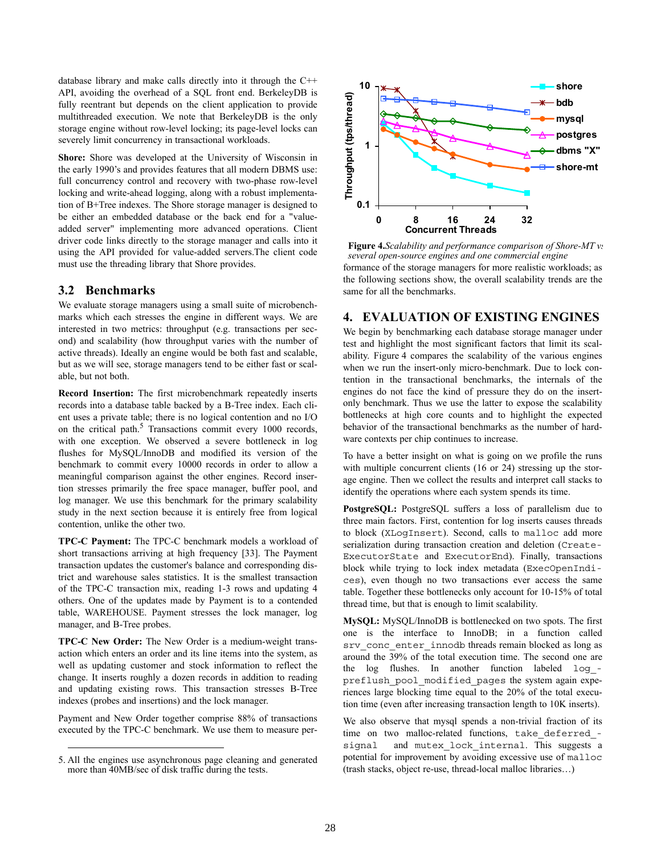database library and make calls directly into it through the C++ API, avoiding the overhead of a SQL front end. BerkeleyDB is fully reentrant but depends on the client application to provide multithreaded execution. We note that BerkeleyDB is the only storage engine without row-level locking; its page-level locks can severely limit concurrency in transactional workloads.

**Shore:** Shore was developed at the University of Wisconsin in the early 1990's and provides features that all modern DBMS use: full concurrency control and recovery with two-phase row-level locking and write-ahead logging, along with a robust implementation of B+Tree indexes. The Shore storage manager is designed to be either an embedded database or the back end for a "valueadded server" implementing more advanced operations. Client driver code links directly to the storage manager and calls into it using the API provided for value-added servers.The client code must use the threading library that Shore provides.

### **3.2 Benchmarks**

We evaluate storage managers using a small suite of microbenchmarks which each stresses the engine in different ways. We are interested in two metrics: throughput (e.g. transactions per second) and scalability (how throughput varies with the number of active threads). Ideally an engine would be both fast and scalable, but as we will see, storage managers tend to be either fast or scalable, but not both.

**Record Insertion:** The first microbenchmark repeatedly inserts records into a database table backed by a B-Tree index. Each client uses a private table; there is no logical contention and no I/O on the critical path.<sup>5</sup> Transactions commit every 1000 records, with one exception. We observed a severe bottleneck in log flushes for MySQL/InnoDB and modified its version of the benchmark to commit every 10000 records in order to allow a meaningful comparison against the other engines. Record insertion stresses primarily the free space manager, buffer pool, and log manager. We use this benchmark for the primary scalability study in the next section because it is entirely free from logical contention, unlike the other two.

**TPC-C Payment:** The TPC-C benchmark models a workload of short transactions arriving at high frequency [\[33\]](#page-11-17). The Payment transaction updates the customer's balance and corresponding district and warehouse sales statistics. It is the smallest transaction of the TPC-C transaction mix, reading 1-3 rows and updating 4 others. One of the updates made by Payment is to a contended table, WAREHOUSE. Payment stresses the lock manager, log manager, and B-Tree probes.

**TPC-C New Order:** The New Order is a medium-weight transaction which enters an order and its line items into the system, as well as updating customer and stock information to reflect the change. It inserts roughly a dozen records in addition to reading and updating existing rows. This transaction stresses B-Tree indexes (probes and insertions) and the lock manager.

Payment and New Order together comprise 88% of transactions executed by the TPC-C benchmark. We use them to measure per-



<span id="page-4-0"></span>

### <span id="page-4-1"></span>**4. EVALUATION OF EXISTING ENGINES**

We begin by benchmarking each database storage manager under test and highlight the most significant factors that limit its scalability. [Figure 4](#page-4-0) compares the scalability of the various engines when we run the insert-only micro-benchmark. Due to lock contention in the transactional benchmarks, the internals of the engines do not face the kind of pressure they do on the insertonly benchmark. Thus we use the latter to expose the scalability bottlenecks at high core counts and to highlight the expected behavior of the transactional benchmarks as the number of hardware contexts per chip continues to increase.

To have a better insight on what is going on we profile the runs with multiple concurrent clients (16 or 24) stressing up the storage engine. Then we collect the results and interpret call stacks to identify the operations where each system spends its time.

**PostgreSQL:** PostgreSQL suffers a loss of parallelism due to three main factors. First, contention for log inserts causes threads to block (XLogInsert). Second, calls to malloc add more serialization during transaction creation and deletion (Create-ExecutorState and ExecutorEnd). Finally, transactions block while trying to lock index metadata (ExecOpenIndices), even though no two transactions ever access the same table. Together these bottlenecks only account for 10-15% of total thread time, but that is enough to limit scalability.

**MySQL:** MySQL/InnoDB is bottlenecked on two spots. The first one is the interface to InnoDB; in a function called srv\_conc\_enter\_innodb threads remain blocked as long as around the 39% of the total execution time. The second one are the log flushes. In another function labeled log\_ preflush pool modified pages the system again experiences large blocking time equal to the 20% of the total execution time (even after increasing transaction length to 10K inserts).

We also observe that mysql spends a non-trivial fraction of its time on two malloc-related functions, take\_deferred\_ signal and mutex lock internal. This suggests a potential for improvement by avoiding excessive use of malloc

<sup>5.</sup> All the engines use asynchronous page cleaning and generated potential for improvement by avoiding excessive use of malloc libraries...) from the tests. more than 40MB/sec of disk traffic during the tests.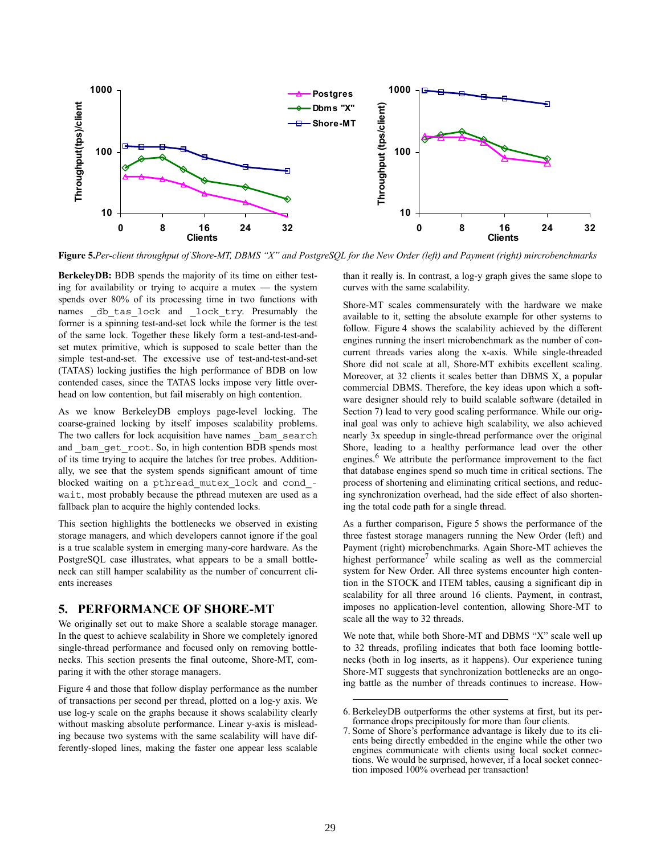

<span id="page-5-0"></span>**Figure 5.***Per-client throughput of Shore-MT, DBMS "X" and PostgreSQL for the New Order (left) and Payment (right) mircrobenchmarks*

**BerkeleyDB:** BDB spends the majority of its time on either testing for availability or trying to acquire a mutex — the system spends over 80% of its processing time in two functions with names db tas lock and lock try. Presumably the former is a spinning test-and-set lock while the former is the test of the same lock. Together these likely form a test-and-test-andset mutex primitive, which is supposed to scale better than the simple test-and-set. The excessive use of test-and-test-and-set (TATAS) locking justifies the high performance of BDB on low contended cases, since the TATAS locks impose very little overhead on low contention, but fail miserably on high contention.

As we know BerkeleyDB employs page-level locking. The coarse-grained locking by itself imposes scalability problems. The two callers for lock acquisition have names bam search and bam qet root. So, in high contention BDB spends most of its time trying to acquire the latches for tree probes. Additionally, we see that the system spends significant amount of time blocked waiting on a pthread\_mutex\_lock and cond\_ wait, most probably because the pthread mutexen are used as a fallback plan to acquire the highly contended locks.

This section highlights the bottlenecks we observed in existing storage managers, and which developers cannot ignore if the goal is a true scalable system in emerging many-core hardware. As the PostgreSQL case illustrates, what appears to be a small bottleneck can still hamper scalability as the number of concurrent clients increases

### **5. PERFORMANCE OF SHORE-MT**

We originally set out to make Shore a scalable storage manager. In the quest to achieve scalability in Shore we completely ignored single-thread performance and focused only on removing bottlenecks. This section presents the final outcome, Shore-MT, comparing it with the other storage managers.

[Figure 4](#page-4-0) and those that follow display performance as the number of transactions per second per thread, plotted on a log-y axis. We use log-y scale on the graphs because it shows scalability clearly without masking absolute performance. Linear y-axis is misleading because two systems with the same scalability will have differently-sloped lines, making the faster one appear less scalable than it really is. In contrast, a log-y graph gives the same slope to curves with the same scalability.

Shore-MT scales commensurately with the hardware we make available to it, setting the absolute example for other systems to follow. [Figure 4](#page-4-0) shows the scalability achieved by the different engines running the insert microbenchmark as the number of concurrent threads varies along the x-axis. While single-threaded Shore did not scale at all, Shore-MT exhibits excellent scaling. Moreover, at 32 clients it scales better than DBMS X, a popular commercial DBMS. Therefore, the key ideas upon which a software designer should rely to build scalable software (detailed in [Section 7\)](#page-8-0) lead to very good scaling performance. While our original goal was only to achieve high scalability, we also achieved nearly 3x speedup in single-thread performance over the original Shore, leading to a healthy performance lead over the other engines.<sup>6</sup> We attribute the performance improvement to the fact that database engines spend so much time in critical sections. The process of shortening and eliminating critical sections, and reducing synchronization overhead, had the side effect of also shortening the total code path for a single thread.

As a further comparison, [Figure 5](#page-5-0) shows the performance of the three fastest storage managers running the New Order (left) and Payment (right) microbenchmarks. Again Shore-MT achieves the highest performance<sup>7</sup> while scaling as well as the commercial system for New Order. All three systems encounter high contention in the STOCK and ITEM tables, causing a significant dip in scalability for all three around 16 clients. Payment, in contrast, imposes no application-level contention, allowing Shore-MT to scale all the way to 32 threads.

We note that, while both Shore-MT and DBMS "X" scale well up to 32 threads, profiling indicates that both face looming bottlenecks (both in log inserts, as it happens). Our experience tuning Shore-MT suggests that synchronization bottlenecks are an ongoing battle as the number of threads continues to increase. How-

<sup>6.</sup> BerkeleyDB outperforms the other systems at first, but its performance drops precipitously for more than four clients.

<sup>7.</sup> Some of Shore's performance advantage is likely due to its clients being directly embedded in the engine while the other two engines communicate with clients using local socket connections. We would be surprised, however, if a local socket connection imposed 100% overhead per transaction!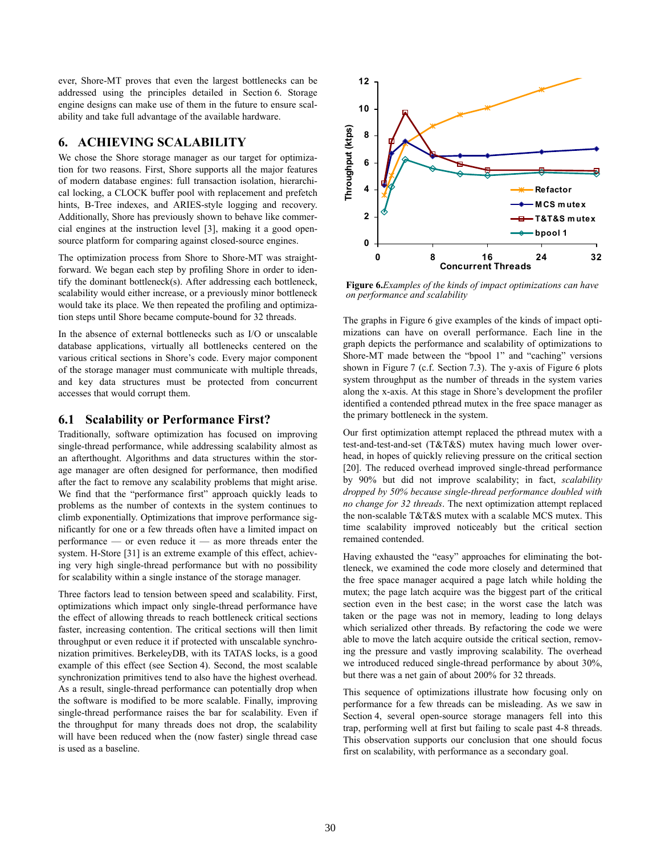ever, Shore-MT proves that even the largest bottlenecks can be addressed using the principles detailed in [Section 6.](#page-6-1) Storage engine designs can make use of them in the future to ensure scalability and take full advantage of the available hardware.

# <span id="page-6-1"></span>**6. ACHIEVING SCALABILITY**

We chose the Shore storage manager as our target for optimization for two reasons. First, Shore supports all the major features of modern database engines: full transaction isolation, hierarchical locking, a CLOCK buffer pool with replacement and prefetch hints, B-Tree indexes, and ARIES-style logging and recovery. Additionally, Shore has previously shown to behave like commercial engines at the instruction level [\[3\],](#page-11-18) making it a good opensource platform for comparing against closed-source engines.

The optimization process from Shore to Shore-MT was straightforward. We began each step by profiling Shore in order to identify the dominant bottleneck(s). After addressing each bottleneck, scalability would either increase, or a previously minor bottleneck would take its place. We then repeated the profiling and optimization steps until Shore became compute-bound for 32 threads.

In the absence of external bottlenecks such as I/O or unscalable database applications, virtually all bottlenecks centered on the various critical sections in Shore's code. Every major component of the storage manager must communicate with multiple threads, and key data structures must be protected from concurrent accesses that would corrupt them.

### **6.1 Scalability or Performance First?**

Traditionally, software optimization has focused on improving single-thread performance, while addressing scalability almost as an afterthought. Algorithms and data structures within the storage manager are often designed for performance, then modified after the fact to remove any scalability problems that might arise. We find that the "performance first" approach quickly leads to problems as the number of contexts in the system continues to climb exponentially. Optimizations that improve performance significantly for one or a few threads often have a limited impact on performance — or even reduce it — as more threads enter the system. H-Store [\[31\]](#page-11-19) is an extreme example of this effect, achieving very high single-thread performance but with no possibility for scalability within a single instance of the storage manager.

Three factors lead to tension between speed and scalability. First, optimizations which impact only single-thread performance have the effect of allowing threads to reach bottleneck critical sections faster, increasing contention. The critical sections will then limit throughput or even reduce it if protected with unscalable synchronization primitives. BerkeleyDB, with its TATAS locks, is a good example of this effect (see [Section 4\)](#page-4-1). Second, the most scalable synchronization primitives tend to also have the highest overhead. As a result, single-thread performance can potentially drop when the software is modified to be more scalable. Finally, improving single-thread performance raises the bar for scalability. Even if the throughput for many threads does not drop, the scalability will have been reduced when the (now faster) single thread case is used as a baseline.



<span id="page-6-0"></span>**Figure 6.***Examples of the kinds of impact optimizations can have on performance and scalability*

The graphs in [Figure 6](#page-6-0) give examples of the kinds of impact optimizations can have on overall performance. Each line in the graph depicts the performance and scalability of optimizations to Shore-MT made between the "bpool 1" and "caching" versions shown in [Figure 7](#page-8-1) (c.f. [Section 7.3\)](#page-9-0). The y-axis of [Figure 6](#page-6-0) plots system throughput as the number of threads in the system varies along the x-axis. At this stage in Shore's development the profiler identified a contended pthread mutex in the free space manager as the primary bottleneck in the system.

Our first optimization attempt replaced the pthread mutex with a test-and-test-and-set (T&T&S) mutex having much lower overhead, in hopes of quickly relieving pressure on the critical section [\[20\].](#page-11-14) The reduced overhead improved single-thread performance by 90% but did not improve scalability; in fact, *scalability dropped by 50% because single-thread performance doubled with no change for 32 threads*. The next optimization attempt replaced the non-scalable T&T&S mutex with a scalable MCS mutex. This time scalability improved noticeably but the critical section remained contended.

Having exhausted the "easy" approaches for eliminating the bottleneck, we examined the code more closely and determined that the free space manager acquired a page latch while holding the mutex; the page latch acquire was the biggest part of the critical section even in the best case; in the worst case the latch was taken or the page was not in memory, leading to long delays which serialized other threads. By refactoring the code we were able to move the latch acquire outside the critical section, removing the pressure and vastly improving scalability. The overhead we introduced reduced single-thread performance by about 30%, but there was a net gain of about 200% for 32 threads.

This sequence of optimizations illustrate how focusing only on performance for a few threads can be misleading. As we saw in [Section 4,](#page-4-1) several open-source storage managers fell into this trap, performing well at first but failing to scale past 4-8 threads. This observation supports our conclusion that one should focus first on scalability, with performance as a secondary goal.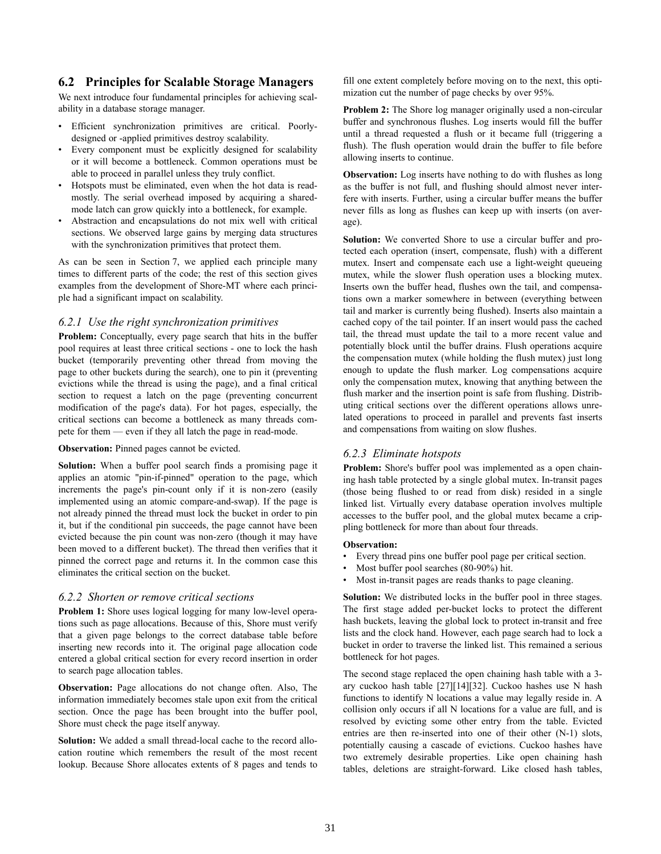# **6.2 Principles for Scalable Storage Managers**

We next introduce four fundamental principles for achieving scalability in a database storage manager.

- Efficient synchronization primitives are critical. Poorlydesigned or -applied primitives destroy scalability.
- Every component must be explicitly designed for scalability or it will become a bottleneck. Common operations must be able to proceed in parallel unless they truly conflict.
- Hotspots must be eliminated, even when the hot data is readmostly. The serial overhead imposed by acquiring a sharedmode latch can grow quickly into a bottleneck, for example.
- Abstraction and encapsulations do not mix well with critical sections. We observed large gains by merging data structures with the synchronization primitives that protect them.

As can be seen in [Section 7](#page-8-0), we applied each principle many times to different parts of the code; the rest of this section gives examples from the development of Shore-MT where each principle had a significant impact on scalability.

# <span id="page-7-0"></span>*6.2.1 Use the right synchronization primitives*

**Problem:** Conceptually, every page search that hits in the buffer pool requires at least three critical sections - one to lock the hash bucket (temporarily preventing other thread from moving the page to other buckets during the search), one to pin it (preventing evictions while the thread is using the page), and a final critical section to request a latch on the page (preventing concurrent modification of the page's data). For hot pages, especially, the critical sections can become a bottleneck as many threads compete for them — even if they all latch the page in read-mode.

**Observation:** Pinned pages cannot be evicted.

**Solution:** When a buffer pool search finds a promising page it applies an atomic "pin-if-pinned" operation to the page, which increments the page's pin-count only if it is non-zero (easily implemented using an atomic compare-and-swap). If the page is not already pinned the thread must lock the bucket in order to pin it, but if the conditional pin succeeds, the page cannot have been evicted because the pin count was non-zero (though it may have been moved to a different bucket). The thread then verifies that it pinned the correct page and returns it. In the common case this eliminates the critical section on the bucket.

# <span id="page-7-2"></span>*6.2.2 Shorten or remove critical sections*

**Problem 1:** Shore uses logical logging for many low-level operations such as page allocations. Because of this, Shore must verify that a given page belongs to the correct database table before inserting new records into it. The original page allocation code entered a global critical section for every record insertion in order to search page allocation tables.

**Observation:** Page allocations do not change often. Also, The information immediately becomes stale upon exit from the critical section. Once the page has been brought into the buffer pool, Shore must check the page itself anyway.

**Solution:** We added a small thread-local cache to the record allocation routine which remembers the result of the most recent lookup. Because Shore allocates extents of 8 pages and tends to

fill one extent completely before moving on to the next, this optimization cut the number of page checks by over 95%.

**Problem 2:** The Shore log manager originally used a non-circular buffer and synchronous flushes. Log inserts would fill the buffer until a thread requested a flush or it became full (triggering a flush). The flush operation would drain the buffer to file before allowing inserts to continue.

**Observation:** Log inserts have nothing to do with flushes as long as the buffer is not full, and flushing should almost never interfere with inserts. Further, using a circular buffer means the buffer never fills as long as flushes can keep up with inserts (on average).

**Solution:** We converted Shore to use a circular buffer and protected each operation (insert, compensate, flush) with a different mutex. Insert and compensate each use a light-weight queueing mutex, while the slower flush operation uses a blocking mutex. Inserts own the buffer head, flushes own the tail, and compensations own a marker somewhere in between (everything between tail and marker is currently being flushed). Inserts also maintain a cached copy of the tail pointer. If an insert would pass the cached tail, the thread must update the tail to a more recent value and potentially block until the buffer drains. Flush operations acquire the compensation mutex (while holding the flush mutex) just long enough to update the flush marker. Log compensations acquire only the compensation mutex, knowing that anything between the flush marker and the insertion point is safe from flushing. Distributing critical sections over the different operations allows unrelated operations to proceed in parallel and prevents fast inserts and compensations from waiting on slow flushes.

### <span id="page-7-1"></span>*6.2.3 Eliminate hotspots*

**Problem:** Shore's buffer pool was implemented as a open chaining hash table protected by a single global mutex. In-transit pages (those being flushed to or read from disk) resided in a single linked list. Virtually every database operation involves multiple accesses to the buffer pool, and the global mutex became a crippling bottleneck for more than about four threads.

### **Observation:**

- Every thread pins one buffer pool page per critical section.
- Most buffer pool searches (80-90%) hit.
- Most in-transit pages are reads thanks to page cleaning.

**Solution:** We distributed locks in the buffer pool in three stages. The first stage added per-bucket locks to protect the different hash buckets, leaving the global lock to protect in-transit and free lists and the clock hand. However, each page search had to lock a bucket in order to traverse the linked list. This remained a serious bottleneck for hot pages.

The second stage replaced the open chaining hash table with a 3 ary cuckoo hash table [\[27\]](#page-11-20)[\[14\]](#page-11-21)[\[32\].](#page-11-22) Cuckoo hashes use N hash functions to identify N locations a value may legally reside in. A collision only occurs if all N locations for a value are full, and is resolved by evicting some other entry from the table. Evicted entries are then re-inserted into one of their other (N-1) slots, potentially causing a cascade of evictions. Cuckoo hashes have two extremely desirable properties. Like open chaining hash tables, deletions are straight-forward. Like closed hash tables,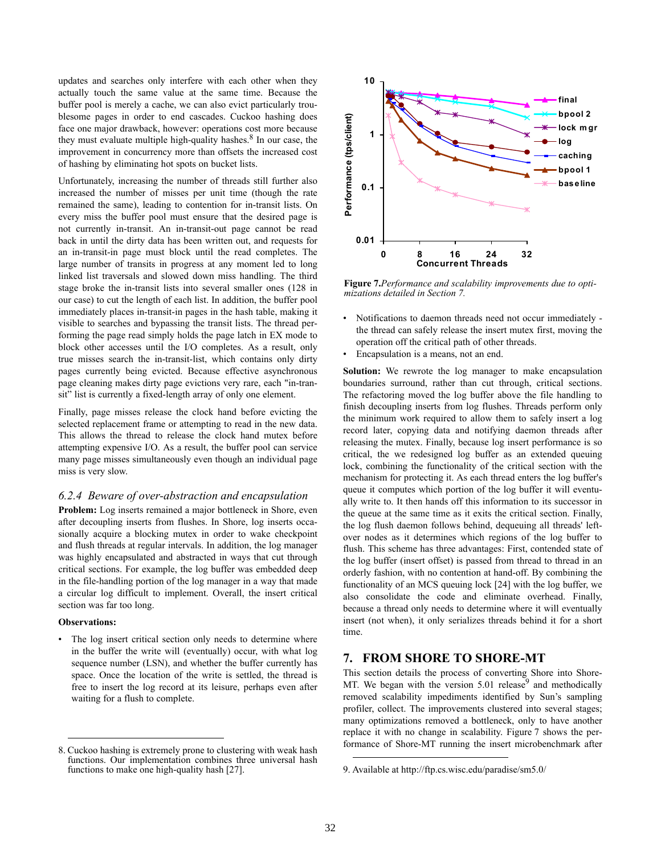updates and searches only interfere with each other when they actually touch the same value at the same time. Because the buffer pool is merely a cache, we can also evict particularly troublesome pages in order to end cascades. Cuckoo hashing does face one major drawback, however: operations cost more because they must evaluate multiple high-quality hashes. $8$  In our case, the improvement in concurrency more than offsets the increased cost of hashing by eliminating hot spots on bucket lists.

Unfortunately, increasing the number of threads still further also increased the number of misses per unit time (though the rate remained the same), leading to contention for in-transit lists. On every miss the buffer pool must ensure that the desired page is not currently in-transit. An in-transit-out page cannot be read back in until the dirty data has been written out, and requests for an in-transit-in page must block until the read completes. The large number of transits in progress at any moment led to long linked list traversals and slowed down miss handling. The third stage broke the in-transit lists into several smaller ones (128 in our case) to cut the length of each list. In addition, the buffer pool immediately places in-transit-in pages in the hash table, making it visible to searches and bypassing the transit lists. The thread performing the page read simply holds the page latch in EX mode to block other accesses until the I/O completes. As a result, only true misses search the in-transit-list, which contains only dirty pages currently being evicted. Because effective asynchronous page cleaning makes dirty page evictions very rare, each "in-transit" list is currently a fixed-length array of only one element.

Finally, page misses release the clock hand before evicting the selected replacement frame or attempting to read in the new data. This allows the thread to release the clock hand mutex before attempting expensive I/O. As a result, the buffer pool can service many page misses simultaneously even though an individual page miss is very slow.

#### <span id="page-8-2"></span>*6.2.4 Beware of over-abstraction and encapsulation*

**Problem:** Log inserts remained a major bottleneck in Shore, even after decoupling inserts from flushes. In Shore, log inserts occasionally acquire a blocking mutex in order to wake checkpoint and flush threads at regular intervals. In addition, the log manager was highly encapsulated and abstracted in ways that cut through critical sections. For example, the log buffer was embedded deep in the file-handling portion of the log manager in a way that made a circular log difficult to implement. Overall, the insert critical section was far too long.

#### **Observations:**

The log insert critical section only needs to determine where in the buffer the write will (eventually) occur, with what log sequence number (LSN), and whether the buffer currently has space. Once the location of the write is settled, the thread is free to insert the log record at its leisure, perhaps even after waiting for a flush to complete.



<span id="page-8-1"></span>**Figure 7.***Performance and scalability improvements due to optimizations detailed in [Section 7](#page-8-0).*

- Notifications to daemon threads need not occur immediately the thread can safely release the insert mutex first, moving the operation off the critical path of other threads.
- Encapsulation is a means, not an end.

**Solution:** We rewrote the log manager to make encapsulation boundaries surround, rather than cut through, critical sections. The refactoring moved the log buffer above the file handling to finish decoupling inserts from log flushes. Threads perform only the minimum work required to allow them to safely insert a log record later, copying data and notifying daemon threads after releasing the mutex. Finally, because log insert performance is so critical, the we redesigned log buffer as an extended queuing lock, combining the functionality of the critical section with the mechanism for protecting it. As each thread enters the log buffer's queue it computes which portion of the log buffer it will eventually write to. It then hands off this information to its successor in the queue at the same time as it exits the critical section. Finally, the log flush daemon follows behind, dequeuing all threads' leftover nodes as it determines which regions of the log buffer to flush. This scheme has three advantages: First, contended state of the log buffer (insert offset) is passed from thread to thread in an orderly fashion, with no contention at hand-off. By combining the functionality of an MCS queuing lock [\[24\]](#page-11-23) with the log buffer, we also consolidate the code and eliminate overhead. Finally, because a thread only needs to determine where it will eventually insert (not when), it only serializes threads behind it for a short time.

# <span id="page-8-0"></span>**7. FROM SHORE TO SHORE-MT**

This section details the process of converting Shore into Shore-MT. We began with the version  $5.01$  release<sup>9</sup> and methodically removed scalability impediments identified by Sun's sampling profiler, collect. The improvements clustered into several stages; many optimizations removed a bottleneck, only to have another replace it with no change in scalability. [Figure 7](#page-8-1) shows the performance of Shore-MT running the insert microbenchmark after 8. Cuckoo hashing is extremely prone to clustering with weak hash

functions. Our implementation combines three universal hash functions to make one high-quality hash [27].

<sup>9.</sup> Available at http://ftp.cs.wisc.edu/paradise/sm5.0/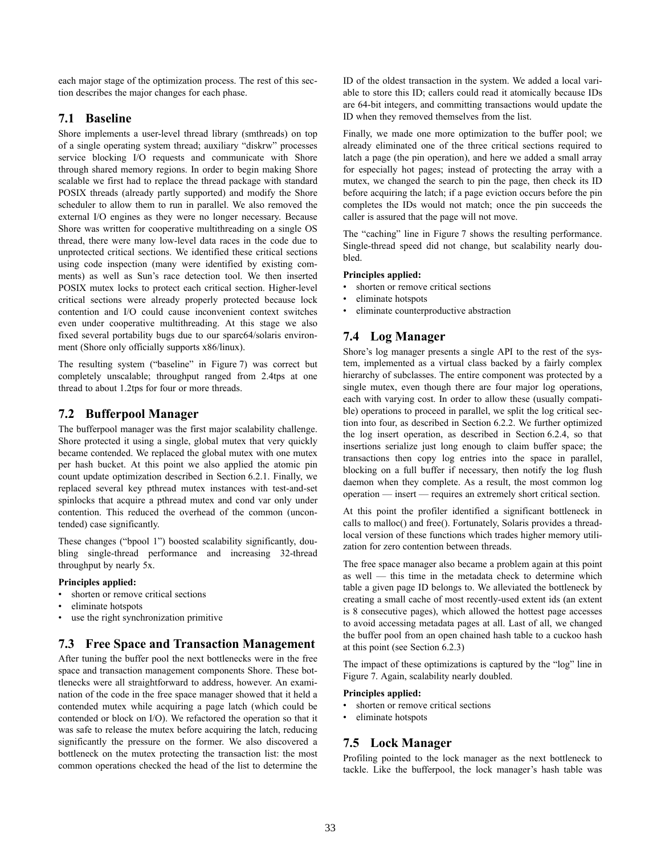each major stage of the optimization process. The rest of this section describes the major changes for each phase.

# **7.1 Baseline**

Shore implements a user-level thread library (smthreads) on top of a single operating system thread; auxiliary "diskrw" processes service blocking I/O requests and communicate with Shore through shared memory regions. In order to begin making Shore scalable we first had to replace the thread package with standard POSIX threads (already partly supported) and modify the Shore scheduler to allow them to run in parallel. We also removed the external I/O engines as they were no longer necessary. Because Shore was written for cooperative multithreading on a single OS thread, there were many low-level data races in the code due to unprotected critical sections. We identified these critical sections using code inspection (many were identified by existing comments) as well as Sun's race detection tool. We then inserted POSIX mutex locks to protect each critical section. Higher-level critical sections were already properly protected because lock contention and I/O could cause inconvenient context switches even under cooperative multithreading. At this stage we also fixed several portability bugs due to our sparc64/solaris environment (Shore only officially supports x86/linux).

The resulting system ("baseline" in [Figure 7](#page-8-1)) was correct but completely unscalable; throughput ranged from 2.4tps at one thread to about 1.2tps for four or more threads.

### **7.2 Bufferpool Manager**

The bufferpool manager was the first major scalability challenge. Shore protected it using a single, global mutex that very quickly became contended. We replaced the global mutex with one mutex per hash bucket. At this point we also applied the atomic pin count update optimization described in [Section 6.2.1.](#page-7-0) Finally, we replaced several key pthread mutex instances with test-and-set spinlocks that acquire a pthread mutex and cond var only under contention. This reduced the overhead of the common (uncontended) case significantly.

These changes ("bpool 1") boosted scalability significantly, doubling single-thread performance and increasing 32-thread throughput by nearly 5x.

#### **Principles applied:**

- shorten or remove critical sections
- eliminate hotspots
- use the right synchronization primitive

### <span id="page-9-0"></span>**7.3 Free Space and Transaction Management**

After tuning the buffer pool the next bottlenecks were in the free space and transaction management components Shore. These bottlenecks were all straightforward to address, however. An examination of the code in the free space manager showed that it held a contended mutex while acquiring a page latch (which could be contended or block on I/O). We refactored the operation so that it was safe to release the mutex before acquiring the latch, reducing significantly the pressure on the former. We also discovered a bottleneck on the mutex protecting the transaction list: the most common operations checked the head of the list to determine the ID of the oldest transaction in the system. We added a local variable to store this ID; callers could read it atomically because IDs are 64-bit integers, and committing transactions would update the ID when they removed themselves from the list.

Finally, we made one more optimization to the buffer pool; we already eliminated one of the three critical sections required to latch a page (the pin operation), and here we added a small array for especially hot pages; instead of protecting the array with a mutex, we changed the search to pin the page, then check its ID before acquiring the latch; if a page eviction occurs before the pin completes the IDs would not match; once the pin succeeds the caller is assured that the page will not move.

The "caching" line in [Figure 7](#page-8-1) shows the resulting performance. Single-thread speed did not change, but scalability nearly doubled.

#### **Principles applied:**

- shorten or remove critical sections
- eliminate hotspots
- eliminate counterproductive abstraction

# **7.4 Log Manager**

Shore's log manager presents a single API to the rest of the system, implemented as a virtual class backed by a fairly complex hierarchy of subclasses. The entire component was protected by a single mutex, even though there are four major log operations, each with varying cost. In order to allow these (usually compatible) operations to proceed in parallel, we split the log critical section into four, as described in [Section 6.2.2](#page-7-2). We further optimized the log insert operation, as described in [Section 6.2.4](#page-8-2), so that insertions serialize just long enough to claim buffer space; the transactions then copy log entries into the space in parallel, blocking on a full buffer if necessary, then notify the log flush daemon when they complete. As a result, the most common log operation — insert — requires an extremely short critical section.

At this point the profiler identified a significant bottleneck in calls to malloc() and free(). Fortunately, Solaris provides a threadlocal version of these functions which trades higher memory utilization for zero contention between threads.

The free space manager also became a problem again at this point as well — this time in the metadata check to determine which table a given page ID belongs to. We alleviated the bottleneck by creating a small cache of most recently-used extent ids (an extent is 8 consecutive pages), which allowed the hottest page accesses to avoid accessing metadata pages at all. Last of all, we changed the buffer pool from an open chained hash table to a cuckoo hash at this point (see [Section 6.2.3](#page-7-1))

The impact of these optimizations is captured by the "log" line in [Figure 7](#page-8-1). Again, scalability nearly doubled.

#### **Principles applied:**

- shorten or remove critical sections
- eliminate hotspots

#### **7.5 Lock Manager**

Profiling pointed to the lock manager as the next bottleneck to tackle. Like the bufferpool, the lock manager's hash table was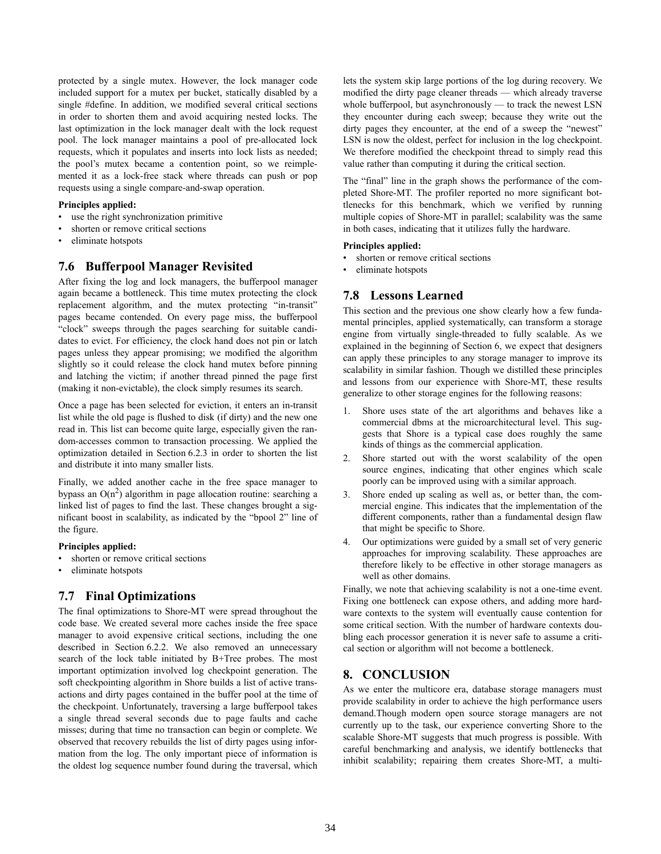protected by a single mutex. However, the lock manager code included support for a mutex per bucket, statically disabled by a single #define. In addition, we modified several critical sections in order to shorten them and avoid acquiring nested locks. The last optimization in the lock manager dealt with the lock request pool. The lock manager maintains a pool of pre-allocated lock requests, which it populates and inserts into lock lists as needed; the pool's mutex became a contention point, so we reimplemented it as a lock-free stack where threads can push or pop requests using a single compare-and-swap operation.

#### **Principles applied:**

- use the right synchronization primitive
- shorten or remove critical sections
- eliminate hotspots

# **7.6 Bufferpool Manager Revisited**

After fixing the log and lock managers, the bufferpool manager again became a bottleneck. This time mutex protecting the clock replacement algorithm, and the mutex protecting "in-transit" pages became contended. On every page miss, the bufferpool "clock" sweeps through the pages searching for suitable candidates to evict. For efficiency, the clock hand does not pin or latch pages unless they appear promising; we modified the algorithm slightly so it could release the clock hand mutex before pinning and latching the victim; if another thread pinned the page first (making it non-evictable), the clock simply resumes its search.

Once a page has been selected for eviction, it enters an in-transit list while the old page is flushed to disk (if dirty) and the new one read in. This list can become quite large, especially given the random-accesses common to transaction processing. We applied the optimization detailed in [Section 6.2.3](#page-7-1) in order to shorten the list and distribute it into many smaller lists.

Finally, we added another cache in the free space manager to bypass an  $O(n^2)$  algorithm in page allocation routine: searching a linked list of pages to find the last. These changes brought a significant boost in scalability, as indicated by the "bpool 2" line of the figure.

#### **Principles applied:**

- shorten or remove critical sections
- eliminate hotspots

# **7.7 Final Optimizations**

The final optimizations to Shore-MT were spread throughout the code base. We created several more caches inside the free space manager to avoid expensive critical sections, including the one described in [Section 6.2.2.](#page-7-2) We also removed an unnecessary search of the lock table initiated by B+Tree probes. The most important optimization involved log checkpoint generation. The soft checkpointing algorithm in Shore builds a list of active transactions and dirty pages contained in the buffer pool at the time of the checkpoint. Unfortunately, traversing a large bufferpool takes a single thread several seconds due to page faults and cache misses; during that time no transaction can begin or complete. We observed that recovery rebuilds the list of dirty pages using information from the log. The only important piece of information is the oldest log sequence number found during the traversal, which lets the system skip large portions of the log during recovery. We modified the dirty page cleaner threads — which already traverse whole bufferpool, but asynchronously — to track the newest LSN they encounter during each sweep; because they write out the dirty pages they encounter, at the end of a sweep the "newest" LSN is now the oldest, perfect for inclusion in the log checkpoint. We therefore modified the checkpoint thread to simply read this value rather than computing it during the critical section.

The "final" line in the graph shows the performance of the completed Shore-MT. The profiler reported no more significant bottlenecks for this benchmark, which we verified by running multiple copies of Shore-MT in parallel; scalability was the same in both cases, indicating that it utilizes fully the hardware.

### **Principles applied:**

- shorten or remove critical sections
- eliminate hotspots

### **7.8 Lessons Learned**

This section and the previous one show clearly how a few fundamental principles, applied systematically, can transform a storage engine from virtually single-threaded to fully scalable. As we explained in the beginning of [Section 6,](#page-6-1) we expect that designers can apply these principles to any storage manager to improve its scalability in similar fashion. Though we distilled these principles and lessons from our experience with Shore-MT, these results generalize to other storage engines for the following reasons:

- 1. Shore uses state of the art algorithms and behaves like a commercial dbms at the microarchitectural level. This suggests that Shore is a typical case does roughly the same kinds of things as the commercial application.
- Shore started out with the worst scalability of the open source engines, indicating that other engines which scale poorly can be improved using with a similar approach.
- 3. Shore ended up scaling as well as, or better than, the commercial engine. This indicates that the implementation of the different components, rather than a fundamental design flaw that might be specific to Shore.
- 4. Our optimizations were guided by a small set of very generic approaches for improving scalability. These approaches are therefore likely to be effective in other storage managers as well as other domains.

Finally, we note that achieving scalability is not a one-time event. Fixing one bottleneck can expose others, and adding more hardware contexts to the system will eventually cause contention for some critical section. With the number of hardware contexts doubling each processor generation it is never safe to assume a critical section or algorithm will not become a bottleneck.

# <span id="page-10-0"></span>**8. CONCLUSION**

As we enter the multicore era, database storage managers must provide scalability in order to achieve the high performance users demand.Though modern open source storage managers are not currently up to the task, our experience converting Shore to the scalable Shore-MT suggests that much progress is possible. With careful benchmarking and analysis, we identify bottlenecks that inhibit scalability; repairing them creates Shore-MT, a multi